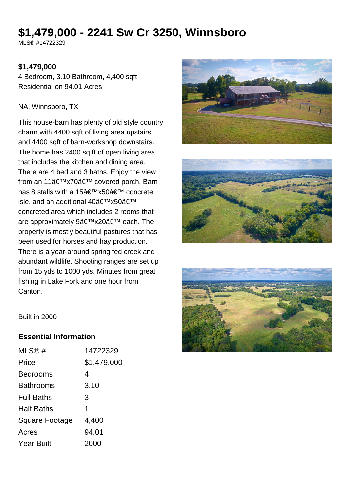# **\$1,479,000 - 2241 Sw Cr 3250, Winnsboro**

MLS® #14722329

#### **\$1,479,000**

4 Bedroom, 3.10 Bathroom, 4,400 sqft Residential on 94.01 Acres

#### NA, Winnsboro, TX

This house-barn has plenty of old style country charm with 4400 sqft of living area upstairs and 4400 sqft of barn-workshop downstairs. The home has 2400 sq ft of open living area that includes the kitchen and dining area. There are 4 bed and 3 baths. Enjoy the view from an 11'x70' covered porch. Barn has 8 stalls with a 15'x50' concrete isle, and an additional 40'x50' concreted area which includes 2 rooms that are approximately 9'x20' each. The property is mostly beautiful pastures that has been used for horses and hay production. There is a year-around spring fed creek and abundant wildlife. Shooting ranges are set up from 15 yds to 1000 yds. Minutes from great fishing in Lake Fork and one hour from Canton.





![](_page_0_Picture_8.jpeg)

Built in 2000

#### **Essential Information**

| MLS@#             | 14722329    |
|-------------------|-------------|
| Price             | \$1,479,000 |
| <b>Bedrooms</b>   | 4           |
| <b>Bathrooms</b>  | 3.10        |
| <b>Full Baths</b> | 3           |
| <b>Half Baths</b> | 1           |
| Square Footage    | 4,400       |
| Acres             | 94.01       |
| <b>Year Built</b> | 2000        |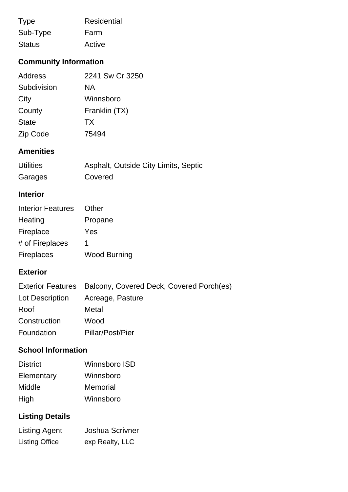| <b>Type</b>   | Residential |
|---------------|-------------|
| Sub-Type      | Farm        |
| <b>Status</b> | Active      |

## **Community Information**

| Address      | 2241 Sw Cr 3250 |
|--------------|-----------------|
| Subdivision  | ΝA              |
| City         | Winnsboro       |
| County       | Franklin (TX)   |
| <b>State</b> | TX.             |
| Zip Code     | 75494           |

## **Amenities**

| <b>Utilities</b> | Asphalt, Outside City Limits, Septic |
|------------------|--------------------------------------|
| Garages          | Covered                              |

## **Interior**

| <b>Interior Features</b> | Other               |
|--------------------------|---------------------|
| Heating                  | Propane             |
| Fireplace                | Yes                 |
| # of Fireplaces          | 1                   |
| <b>Fireplaces</b>        | <b>Wood Burning</b> |

#### **Exterior**

|                 | Exterior Features Balcony, Covered Deck, Covered Porch(es) |
|-----------------|------------------------------------------------------------|
| Lot Description | Acreage, Pasture                                           |
| Roof            | Metal                                                      |
| Construction    | Wood                                                       |
| Foundation      | Pillar/Post/Pier                                           |

## **School Information**

| <b>District</b> | Winnsboro ISD   |
|-----------------|-----------------|
| Elementary      | Winnsboro       |
| Middle          | <b>Memorial</b> |
| High            | Winnsboro       |

# **Listing Details**

| <b>Listing Agent</b>  | <b>Joshua Scrivner</b> |
|-----------------------|------------------------|
| <b>Listing Office</b> | exp Realty, LLC        |